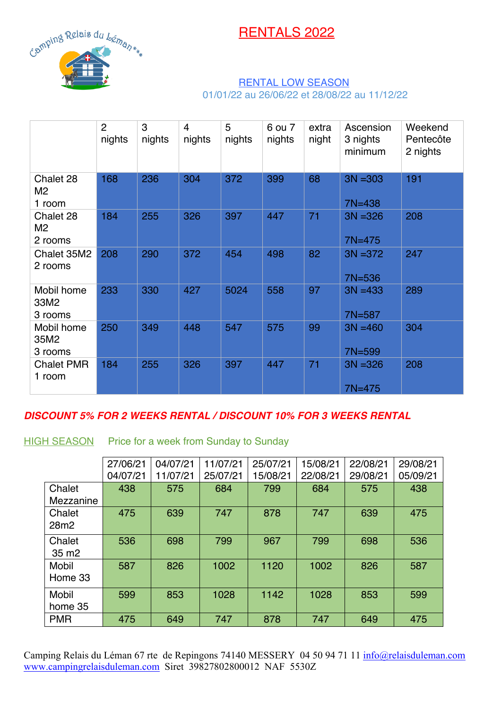RENTALS 2022



## RENTAL LOW SEASON 01/01/22 au 26/06/22 et 28/08/22 au 11/12/22

|                               | $\overline{2}$<br>nights | 3<br>nights | 4<br>nights | 5<br>nights | 6 ou 7<br>nights | extra<br>night | Ascension<br>3 nights<br>minimum | Weekend<br>Pentecôte<br>2 nights |
|-------------------------------|--------------------------|-------------|-------------|-------------|------------------|----------------|----------------------------------|----------------------------------|
| Chalet 28<br>M2<br>1 room     | 168                      | 236         | 304         | 372         | 399              | 68             | $3N = 303$<br>$7N = 438$         | 191                              |
| Chalet 28<br>M2<br>2 rooms    | 184                      | 255         | 326         | 397         | 447              | 71             | $3N = 326$<br>$7N = 475$         | 208                              |
| Chalet 35M2<br>2 rooms        | 208                      | 290         | 372         | 454         | 498              | 82             | $3N = 372$<br>7N=536             | 247                              |
| Mobil home<br>33M2<br>3 rooms | 233                      | 330         | 427         | 5024        | 558              | 97             | $3N = 433$<br>7N=587             | 289                              |
| Mobil home<br>35M2<br>3 rooms | 250                      | 349         | 448         | 547         | 575              | 99             | $3N = 460$<br>7N=599             | 304                              |
| <b>Chalet PMR</b><br>1 room   | 184                      | 255         | 326         | 397         | 447              | 71             | $3N = 326$<br>$7N = 475$         | 208                              |

## *DISCOUNT 5% FOR 2 WEEKS RENTAL / DISCOUNT 10% FOR 3 WEEKS RENTAL*

**HIGH SEASON** Price for a week from Sunday to Sunday

|                   | 27/06/21 | 04/07/21 | 11/07/21 | 25/07/21 | 5/08/21  | 22/08/21 | 29/08/21 |
|-------------------|----------|----------|----------|----------|----------|----------|----------|
|                   | 04/07/21 | 11/07/21 | 25/07/21 | 15/08/21 | 22/08/21 | 29/08/21 | 05/09/21 |
| Chalet            | 438      | 575      | 684      | 799      | 684      | 575      | 438      |
| Mezzanine         |          |          |          |          |          |          |          |
| Chalet            | 475      | 639      | 747      | 878      | 747      | 639      | 475      |
| 28m <sub>2</sub>  |          |          |          |          |          |          |          |
| Chalet            | 536      | 698      | 799      | 967      | 799      | 698      | 536      |
| 35 m <sub>2</sub> |          |          |          |          |          |          |          |
| <b>Mobil</b>      | 587      | 826      | 1002     | 1120     | 1002     | 826      | 587      |
| Home 33           |          |          |          |          |          |          |          |
| Mobil             | 599      | 853      | 1028     | 1142     | 1028     | 853      | 599      |
| home 35           |          |          |          |          |          |          |          |
| <b>PMR</b>        | 475      | 649      | 747      | 878      | 747      | 649      | 475      |

Camping Relais du Léman 67 rte de Repingons 74140 MESSERY 04 50 94 71 11 *info@relaisduleman.com* www.campingrelaisduleman.com Siret 39827802800012 NAF 5530Z